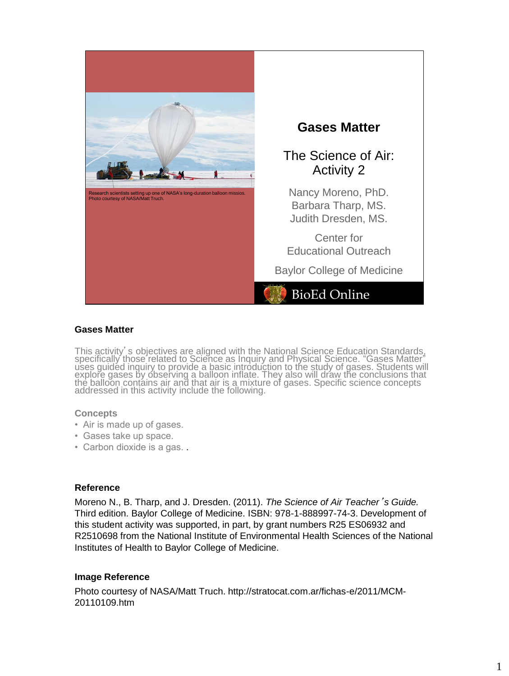

## **Gases Matter**

This activity's objectives are aligned with the National Science Education Standards, specifically those related to Science as Inquiry and Physical Science. "Gases Matter" uses guided inquiry to provide a basic introduction to the study of gases. Students will explore gases by observing a balloon inflate. They also will draw the conclusions that the balloon contains air and that air is a mixture of gases. Specific science concepts addressed in this activity include the following.

## **Concepts**

- Air is made up of gases.
- Gases take up space.
- Carbon dioxide is a gas. .

## **Reference**

Moreno N., B. Tharp, and J. Dresden. (2011). *The Science of Air Teacher*'*s Guide.* Third edition. Baylor College of Medicine. ISBN: 978-1-888997-74-3. Development of this student activity was supported, in part, by grant numbers R25 ES06932 and R2510698 from the National Institute of Environmental Health Sciences of the National Institutes of Health to Baylor College of Medicine.

## **Image Reference**

Photo courtesy of NASA/Matt Truch. http://stratocat.com.ar/fichas-e/2011/MCM-20110109.htm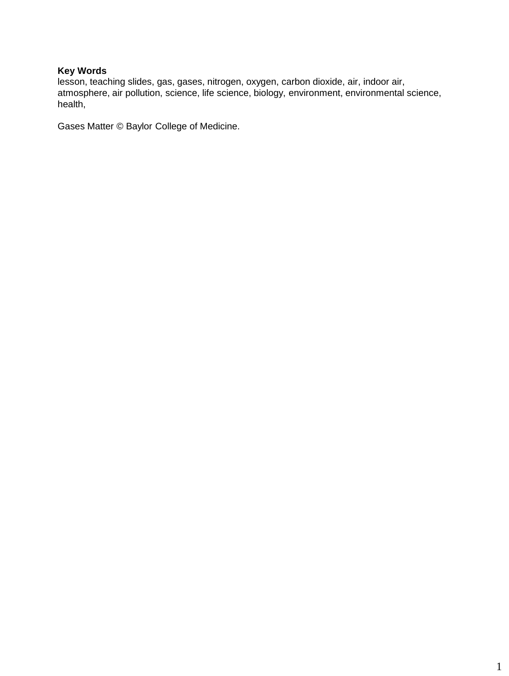# **Key Words**

lesson, teaching slides, gas, gases, nitrogen, oxygen, carbon dioxide, air, indoor air, atmosphere, air pollution, science, life science, biology, environment, environmental science, health,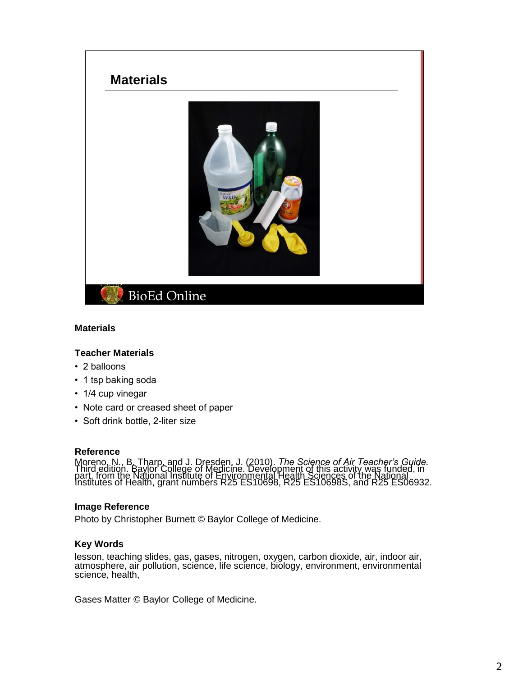

## **Materials**

## **Teacher Materials**

- 2 balloons
- 1 tsp baking soda
- 1/4 cup vinegar
- Note card or creased sheet of paper
- Soft drink bottle, 2-liter size

#### **Reference**

Tracture The Tharp, and J. Dresden, J. (2010). The Science of Air Teacher's Guide.<br>Third edition. Baylor College of Medicine. Development of this activity was funded, in<br>part, from the National Institute of Environmental H

## **Image Reference**

Photo by Christopher Burnett © Baylor College of Medicine.

## **Key Words**

lesson, teaching slides, gas, gases, nitrogen, oxygen, carbon dioxide, air, indoor air, atmosphere, air pollution, science, life science, biology, environment, environmental science, health,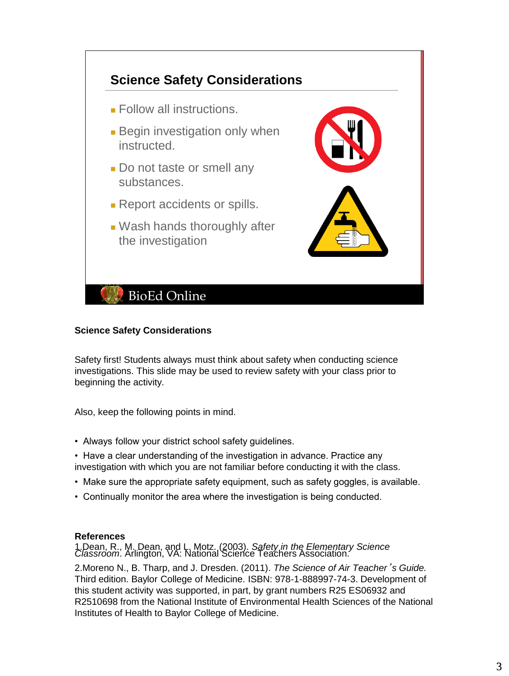

# **Science Safety Considerations**

Safety first! Students always must think about safety when conducting science investigations. This slide may be used to review safety with your class prior to beginning the activity.

Also, keep the following points in mind.

- Always follow your district school safety guidelines.
- Have a clear understanding of the investigation in advance. Practice any investigation with which you are not familiar before conducting it with the class.
- Make sure the appropriate safety equipment, such as safety goggles, is available.
- Continually monitor the area where the investigation is being conducted.

# **References**

1.Dean, R., M. Dean, and L. Motz. (2003). *Safety in the Elementary Science Classroom*. Arlington, VA: National Science Teachers Association.

2.Moreno N., B. Tharp, and J. Dresden. (2011). *The Science of Air Teacher*'*s Guide.* Third edition. Baylor College of Medicine. ISBN: 978-1-888997-74-3. Development of this student activity was supported, in part, by grant numbers R25 ES06932 and R2510698 from the National Institute of Environmental Health Sciences of the National Institutes of Health to Baylor College of Medicine.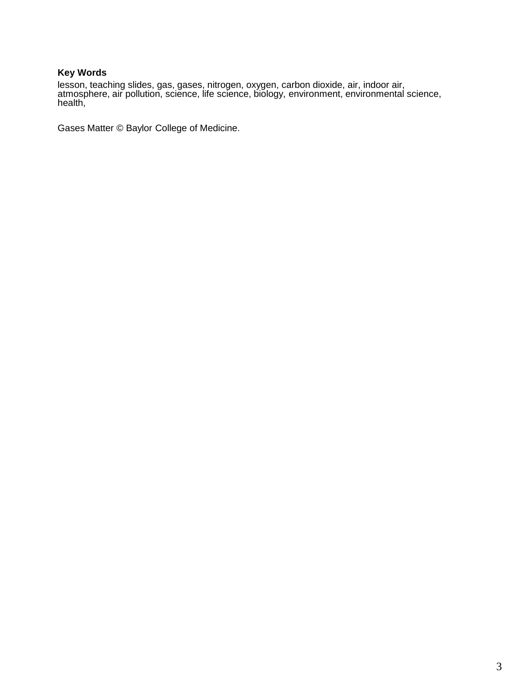# **Key Words**

lesson, teaching slides, gas, gases, nitrogen, oxygen, carbon dioxide, air, indoor air, atmosphere, air pollution, science, life science, biology, environment, environmental science, health,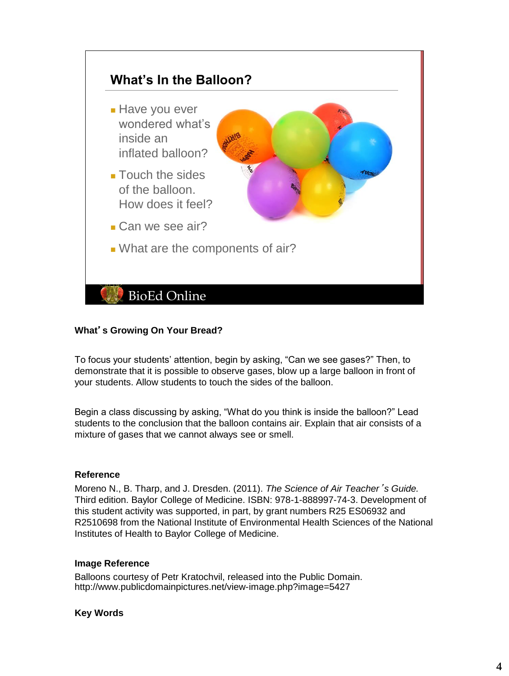

# **What**'**s Growing On Your Bread?**

To focus your students' attention, begin by asking, "Can we see gases?" Then, to demonstrate that it is possible to observe gases, blow up a large balloon in front of your students. Allow students to touch the sides of the balloon.

Begin a class discussing by asking, "What do you think is inside the balloon?" Lead students to the conclusion that the balloon contains air. Explain that air consists of a mixture of gases that we cannot always see or smell.

## **Reference**

Moreno N., B. Tharp, and J. Dresden. (2011). *The Science of Air Teacher*'*s Guide.* Third edition. Baylor College of Medicine. ISBN: 978-1-888997-74-3. Development of this student activity was supported, in part, by grant numbers R25 ES06932 and R2510698 from the National Institute of Environmental Health Sciences of the National Institutes of Health to Baylor College of Medicine.

## **Image Reference**

Balloons courtesy of Petr Kratochvil, released into the Public Domain. http://www.publicdomainpictures.net/view-image.php?image=5427

## **Key Words**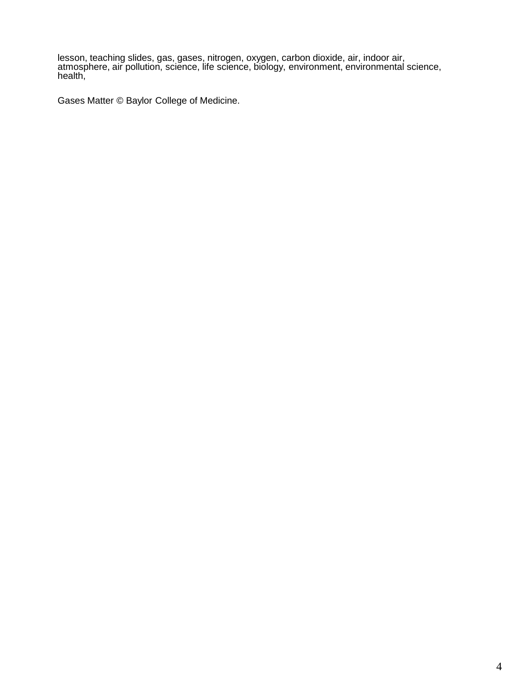lesson, teaching slides, gas, gases, nitrogen, oxygen, carbon dioxide, air, indoor air, atmosphere, air pollution, science, life science, biology, environment, environmental science, health,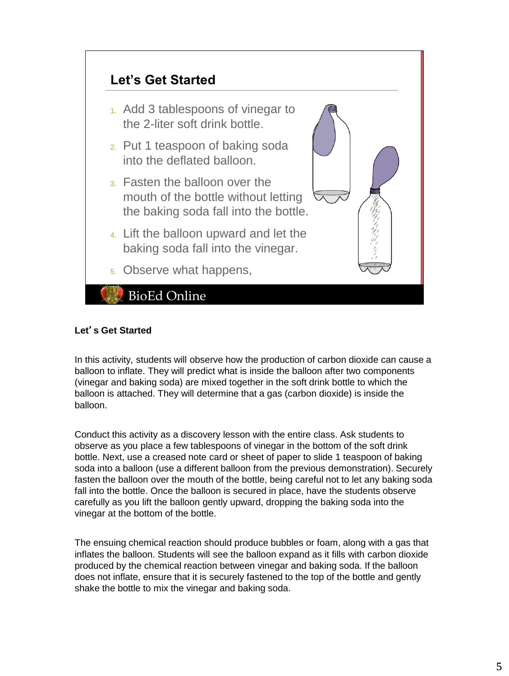

# **Let**'**s Get Started**

In this activity, students will observe how the production of carbon dioxide can cause a balloon to inflate. They will predict what is inside the balloon after two components (vinegar and baking soda) are mixed together in the soft drink bottle to which the balloon is attached. They will determine that a gas (carbon dioxide) is inside the balloon.

Conduct this activity as a discovery lesson with the entire class. Ask students to observe as you place a few tablespoons of vinegar in the bottom of the soft drink bottle. Next, use a creased note card or sheet of paper to slide 1 teaspoon of baking soda into a balloon (use a different balloon from the previous demonstration). Securely fasten the balloon over the mouth of the bottle, being careful not to let any baking soda fall into the bottle. Once the balloon is secured in place, have the students observe carefully as you lift the balloon gently upward, dropping the baking soda into the vinegar at the bottom of the bottle.

The ensuing chemical reaction should produce bubbles or foam, along with a gas that inflates the balloon. Students will see the balloon expand as it fills with carbon dioxide produced by the chemical reaction between vinegar and baking soda. If the balloon does not inflate, ensure that it is securely fastened to the top of the bottle and gently shake the bottle to mix the vinegar and baking soda.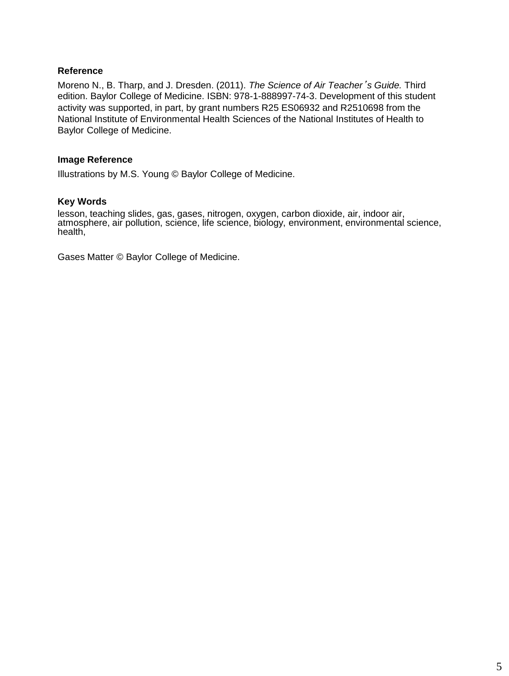## **Reference**

Moreno N., B. Tharp, and J. Dresden. (2011). *The Science of Air Teacher*'*s Guide.* Third edition. Baylor College of Medicine. ISBN: 978-1-888997-74-3. Development of this student activity was supported, in part, by grant numbers R25 ES06932 and R2510698 from the National Institute of Environmental Health Sciences of the National Institutes of Health to Baylor College of Medicine.

## **Image Reference**

Illustrations by M.S. Young © Baylor College of Medicine.

## **Key Words**

lesson, teaching slides, gas, gases, nitrogen, oxygen, carbon dioxide, air, indoor air, atmosphere, air pollution, science, life science, biology, environment, environmental science, health,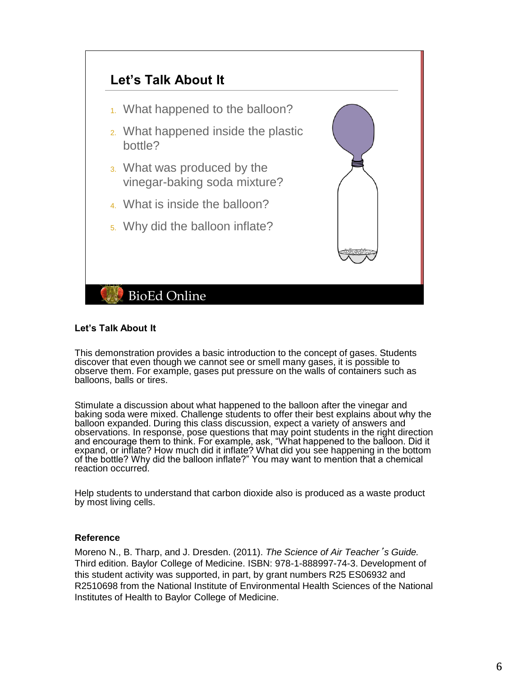

## **Let's Talk About It**

This demonstration provides a basic introduction to the concept of gases. Students discover that even though we cannot see or smell many gases, it is possible to observe them. For example, gases put pressure on the walls of containers such as balloons, balls or tires.

Stimulate a discussion about what happened to the balloon after the vinegar and baking soda were mixed. Challenge students to offer their best explains about why the balloon expanded. During this class discussion, expect a variety of answers and observations. In response, pose questions that may point students in the right direction and encourage them to think. For example, ask, "What happened to the balloon. Did it expand, or inflate? How much did it inflate? What did you see happening in the bottom of the bottle? Why did the balloon inflate?" You may want to mention that a chemical reaction occurred.

Help students to understand that carbon dioxide also is produced as a waste product by most living cells.

## **Reference**

Moreno N., B. Tharp, and J. Dresden. (2011). *The Science of Air Teacher*'*s Guide.* Third edition. Baylor College of Medicine. ISBN: 978-1-888997-74-3. Development of this student activity was supported, in part, by grant numbers R25 ES06932 and R2510698 from the National Institute of Environmental Health Sciences of the National Institutes of Health to Baylor College of Medicine.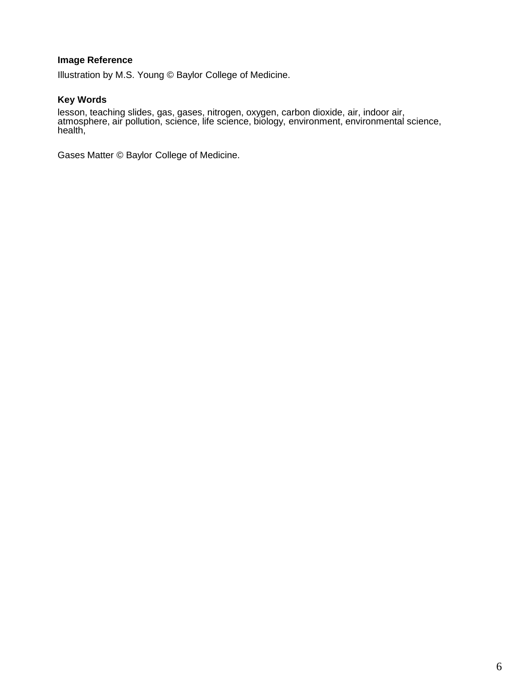# **Image Reference**

Illustration by M.S. Young © Baylor College of Medicine.

## **Key Words**

lesson, teaching slides, gas, gases, nitrogen, oxygen, carbon dioxide, air, indoor air, atmosphere, air pollution, science, life science, biology, environment, environmental science, health,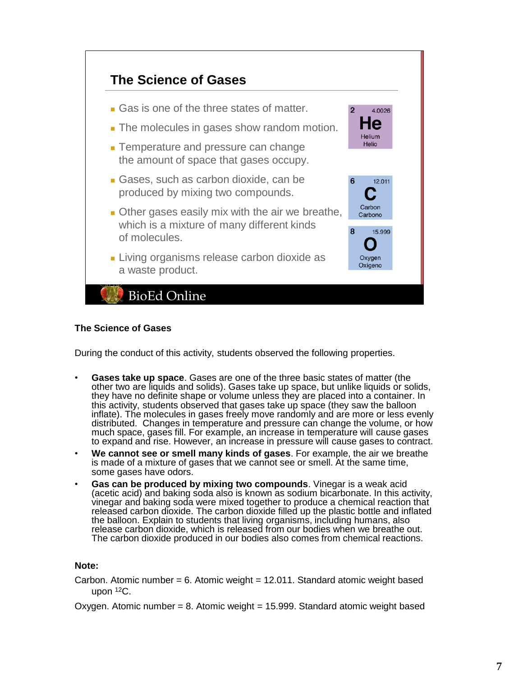

## **The Science of Gases**

During the conduct of this activity, students observed the following properties.

- **Gases take up space**. Gases are one of the three basic states of matter (the other two are liquids and solids). Gases take up space, but unlike liquids or solids, they have no definite shape or volume unless they are placed into a container. In this activity, students observed that gases take up space (they saw the balloon inflate). The molecules in gases freely move randomly and are more or less evenly distributed. Changes in temperature and pressure can change the volume, or how much space, gases fill. For example, an increase in temperature will cause gases to expand and rise. However, an increase in pressure will cause gases to contract.
- **We cannot see or smell many kinds of gases**. For example, the air we breathe is made of a mixture of gases that we cannot see or smell. At the same time, some gases have odors.
- **Gas can be produced by mixing two compounds**. Vinegar is a weak acid (acetic acid) and baking soda also is known as sodium bicarbonate. In this activity, vinegar and baking soda were mixed together to produce a chemical reaction that released carbon dioxide. The carbon dioxide filled up the plastic bottle and inflated the balloon. Explain to students that living organisms, including humans, also release carbon dioxide, which is released from our bodies when we breathe out. The carbon dioxide produced in our bodies also comes from chemical reactions.

## **Note:**

- Carbon. Atomic number = 6. Atomic weight = 12.011. Standard atomic weight based upon <sup>12</sup>C.
- Oxygen. Atomic number = 8. Atomic weight = 15.999. Standard atomic weight based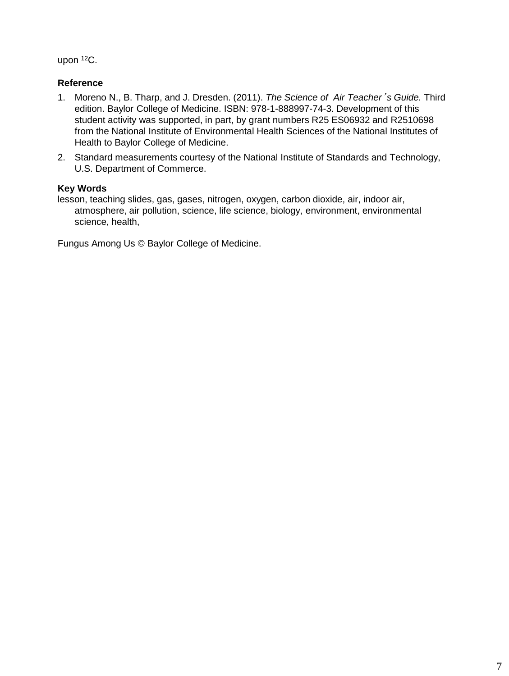upon <sup>12</sup>C.

# **Reference**

- 1. Moreno N., B. Tharp, and J. Dresden. (2011). *The Science of Air Teacher*'*s Guide.* Third edition. Baylor College of Medicine. ISBN: 978-1-888997-74-3. Development of this student activity was supported, in part, by grant numbers R25 ES06932 and R2510698 from the National Institute of Environmental Health Sciences of the National Institutes of Health to Baylor College of Medicine.
- 2. Standard measurements courtesy of the National Institute of Standards and Technology, U.S. Department of Commerce.

# **Key Words**

lesson, teaching slides, gas, gases, nitrogen, oxygen, carbon dioxide, air, indoor air, atmosphere, air pollution, science, life science, biology, environment, environmental science, health,

Fungus Among Us © Baylor College of Medicine.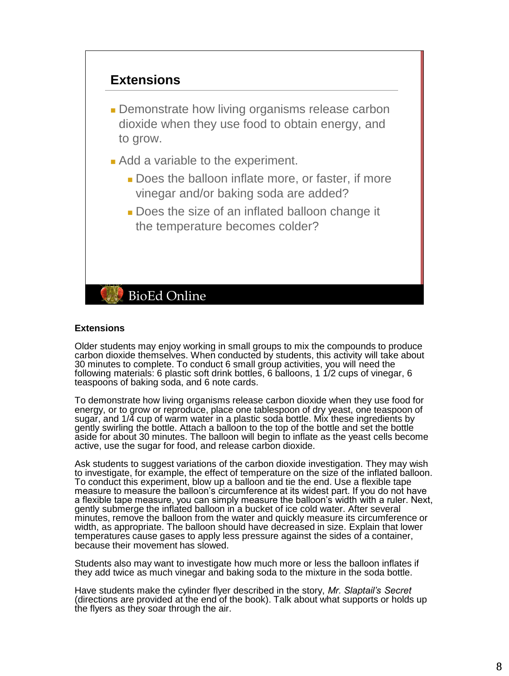

**• Demonstrate how living organisms release carbon** dioxide when they use food to obtain energy, and to grow.

- Add a variable to the experiment.
	- Does the balloon inflate more, or faster, if more vinegar and/or baking soda are added?
	- Does the size of an inflated balloon change it the temperature becomes colder?

# **BioEd Online**

## **Extensions**

Older students may enjoy working in small groups to mix the compounds to produce carbon dioxide themselves. When conducted by students, this activity will take about 30 minutes to complete. To conduct 6 small group activities, you will need the following materials: 6 plastic soft drink bottles, 6 balloons, 1 1/2 cups of vinegar, 6 teaspoons of baking soda, and 6 note cards.

To demonstrate how living organisms release carbon dioxide when they use food for energy, or to grow or reproduce, place one tablespoon of dry yeast, one teaspoon of sugar, and 1/4 cup of warm water in a plastic soda bottle. Mix these ingredients by gently swirling the bottle. Attach a balloon to the top of the bottle and set the bottle aside for about 30 minutes. The balloon will begin to inflate as the yeast cells become active, use the sugar for food, and release carbon dioxide.

Ask students to suggest variations of the carbon dioxide investigation. They may wish to investigate, for example, the effect of temperature on the size of the inflated balloon. To conduct this experiment, blow up a balloon and tie the end. Use a flexible tape measure to measure the balloon's circumference at its widest part. If you do not have a flexible tape measure, you can simply measure the balloon's width with a ruler. Next, gently submerge the inflated balloon in a bucket of ice cold water. After several minutes, remove the balloon from the water and quickly measure its circumference or width, as appropriate. The balloon should have decreased in size. Explain that lower temperatures cause gases to apply less pressure against the sides of a container, because their movement has slowed.

Students also may want to investigate how much more or less the balloon inflates if they add twice as much vinegar and baking soda to the mixture in the soda bottle.

Have students make the cylinder flyer described in the story, *Mr. Slaptail's Secret* (directions are provided at the end of the book). Talk about what supports or holds up the flyers as they soar through the air.